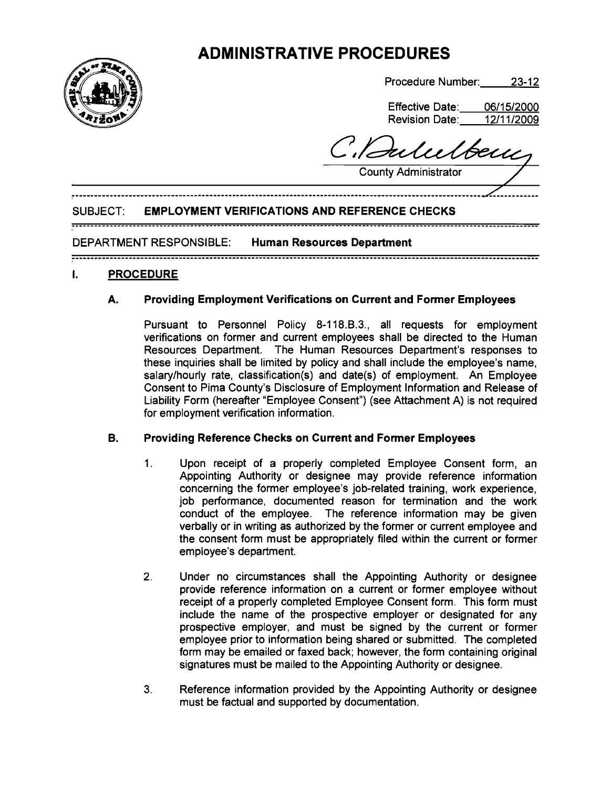# **ADMINISTRATIVE PROCEDURES**



Procedure Number: 23-12

Effective Date: 06/15/2000 Revision Date: 12/11/2009

Lututbery

**County Administrator** 

SUBJECT: EMPLOYMENT VERIFICATIONS AND REFERENCE CHECKS

--------------------------

DEPARTMENT RESPONSIBLE: Human Resources Department

### I. PROCEDURE

# A. Providing Employment Verifications on Current and Former Employees

Pursuant to Personnel Policy 8-118.B.3., all requests for employment verifications on former and current employees shall be directed to the Human Resources Department. The Human Resources Department's responses to these inquiries shall be limited by policy and shall include the employee's name, salary/hourly rate, classification(s) and date(s) of employment. An Employee Consent to Pima County's Disclosure of Employment Information and Release of Liability Form (hereafter "Employee Consent") (see Attachment A) is not required for employment verification information.

# B. Providing Reference Checks on Current and Former Employees

- 1. Upon receipt of a properly completed Employee Consent form, an Appointing Authority or designee may provide reference information concerning the former employee's job-related training, work experience, job performance, documented reason for termination and the work conduct of the employee. The reference information may be given verbally or in writing as authorized by the former or current employee and the consent form must be appropriately filed within the current or former employee's department.
- 2. Under no circumstances shall the Appointing Authority or designee provide reference information on a current or former employee without receipt of a properly completed Employee Consent form. This form must include the name of the prospective employer or designated for any prospective employer, and must be signed by the current or former employee prior to information being shared or submitted. The completed form may be emailed or faxed back; however, the form containing original signatures must be mailed to the Appointing Authority or designee.
- 3. Reference information provided by the Appointing Authority or designee must be factual and supported by documentation.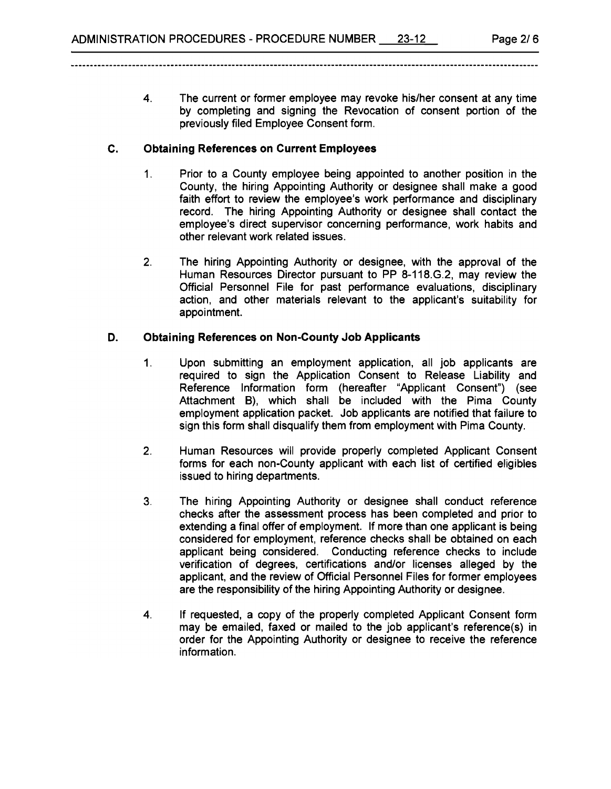4. The current or former employee may revoke his/her consent at any time by completing and signing the Revocation of consent portion of the previously filed Employee Consent form.

#### C. Obtaining References on Current Employees

- 1. Prior to a County employee being appointed to another position in the County, the hiring Appointing Authority or designee shall make a good faith effort to review the employee's work performance and disciplinary record. The hiring Appointing Authority or designee shall contact the employee's direct supervisor concerning performance, work habits and other relevant work related issues.
- 2. The hiring Appointing Authority or designee, with the approval of the Human Resources Director pursuant to PP 8-118.G.2, may review the Official Personnel File for past performance evaluations, disciplinary action, and other materials relevant to the applicant's suitability for appointment.

### D. Obtaining References on Non-County Job Applicants

- 1. Upon submitting an employment application, all job applicants are required to sign the Application Consent to Release Liability and Reference Information form (hereafter "Applicant Consent") (see Attachment B), which shall be included with the Pima County employment application packet. Job applicants are notified that failure to sign this form shall disqualify them from employment with Pima County.
- 2. Human Resources will provide properly completed Applicant Consent forms for each non-County applicant with each list of certified eligibles issued to hiring departments.
- 3. The hiring Appointing Authority or designee shall conduct reference checks after the assessment process has been completed and prior to extending a final offer of employment. If more than one applicant is being considered for employment, reference checks shall be obtained on each applicant being considered. Conducting reference checks to include verification of degrees, certifications and/or licenses alleged by the applicant, and the review of Official Personnel Files for former employees are the responsibility of the hiring Appointing Authority or designee.
- 4. If requested, a copy of the properly completed Applicant Consent form may be emailed, faxed or mailed to the job applicant's reference(s) in order for the Appointing Authority or designee to receive the reference information.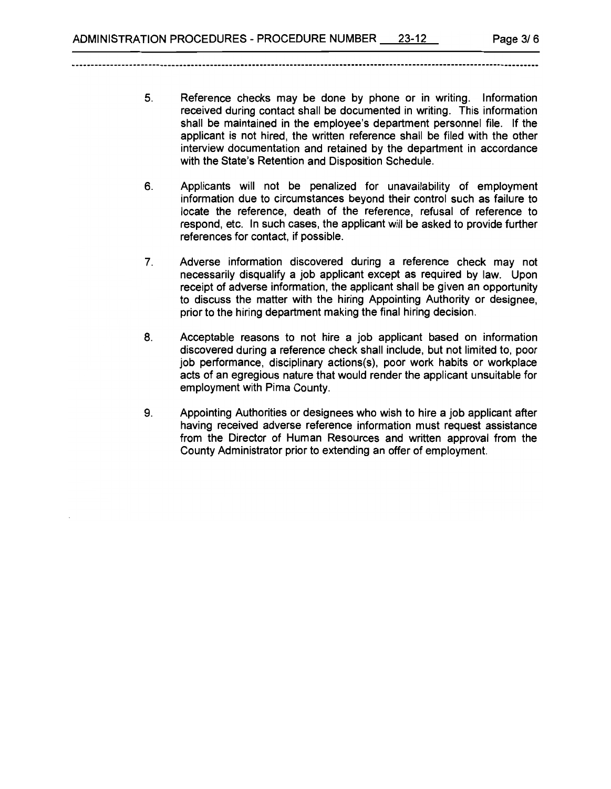- 5. Reference checks may be done by phone or in writing. Information received during contact shall be documented in writing. This information shall be maintained in the employee's department personnel file. If the applicant is not hired, the written reference shall be filed with the other interview documentation and retained by the department in accordance with the State's Retention and Disposition Schedule.
- 6. Applicants will not be penalized for unavailability of employment information due to circumstances beyond their control such as failure to locate the reference, death of the reference, refusal of reference to respond, etc. In such cases, the applicant will be asked to provide further references for contact, if possible.
- 7. Adverse information discovered during a reference check may not necessarily disqualify a job applicant except as required by law. Upon receipt of adverse information, the applicant shall be given an opportunity to discuss the matter with the hiring Appointing Authority or designee, prior to the hiring department making the final hiring decision.
- 8. Acceptable reasons to not hire a job applicant based on information discovered during a reference check shall include, but not limited to, poor job performance, disciplinary actions(s), poor work habits or workplace acts of an egregious nature that would render the applicant unsuitable for employment with Pima County.
- 9. Appointing Authorities or designees who wish to hire a job applicant after having received adverse reference information must request assistance from the Director of Human Resources and written approval from the County Administrator prior to extending an offer of employment.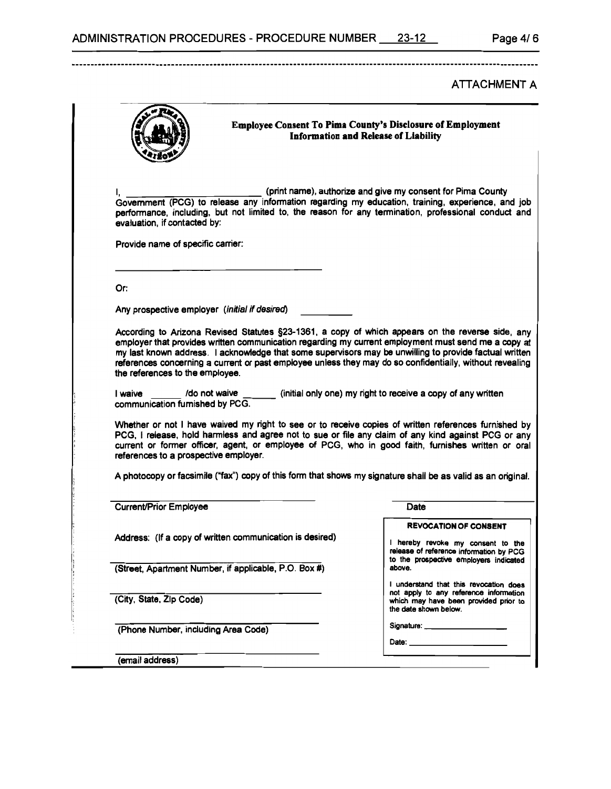. . . .

# ATTACHMENT A

|                                                                                                                                                                                                                                                                                                                                                                                                                                                                                              | <b>Employee Consent To Pima County's Disclosure of Employment</b><br><b>Information and Release of Liability</b>                                                                                                                                                                     |
|----------------------------------------------------------------------------------------------------------------------------------------------------------------------------------------------------------------------------------------------------------------------------------------------------------------------------------------------------------------------------------------------------------------------------------------------------------------------------------------------|--------------------------------------------------------------------------------------------------------------------------------------------------------------------------------------------------------------------------------------------------------------------------------------|
| Government (PCG) to release any information regarding my education, training, experience, and job<br>performance, including, but not limited to, the reason for any termination, professional conduct and<br>evaluation, if contacted by:<br>Provide name of specific carrier:                                                                                                                                                                                                               | (print name), authorize and give my consent for Pima County                                                                                                                                                                                                                          |
|                                                                                                                                                                                                                                                                                                                                                                                                                                                                                              |                                                                                                                                                                                                                                                                                      |
| Or:                                                                                                                                                                                                                                                                                                                                                                                                                                                                                          |                                                                                                                                                                                                                                                                                      |
| Any prospective employer (initial if desired)                                                                                                                                                                                                                                                                                                                                                                                                                                                |                                                                                                                                                                                                                                                                                      |
| According to Arizona Revised Statutes §23-1361, a copy of which appears on the reverse side, any<br>employer that provides written communication regarding my current employment must send me a copy at<br>my last known address. I acknowledge that some supervisors may be unwilling to provide factual written<br>references concerning a current or past employee unless they may do so confidentially, without revealing<br>the references to the employee.<br>/do not waive<br>I waive | (initial only one) my right to receive a copy of any written                                                                                                                                                                                                                         |
| communication furnished by PCG.<br>Whether or not I have waived my right to see or to receive copies of written references furnished by<br>PCG, I release, hold harmless and agree not to sue or file any claim of any kind against PCG or any<br>current or former officer, agent, or employee of PCG, who in good faith, furnishes written or oral                                                                                                                                         |                                                                                                                                                                                                                                                                                      |
| references to a prospective employer.                                                                                                                                                                                                                                                                                                                                                                                                                                                        |                                                                                                                                                                                                                                                                                      |
| A photocopy or facsimile ("fax") copy of this form that shows my signature shall be as valid as an original.                                                                                                                                                                                                                                                                                                                                                                                 |                                                                                                                                                                                                                                                                                      |
| <b>Current/Prior Employee</b>                                                                                                                                                                                                                                                                                                                                                                                                                                                                | Date                                                                                                                                                                                                                                                                                 |
| Address: (If a copy of written communication is desired)                                                                                                                                                                                                                                                                                                                                                                                                                                     | <b>REVOCATION OF CONSENT</b>                                                                                                                                                                                                                                                         |
| (Street, Apartment Number, if applicable, P.O. Box #)                                                                                                                                                                                                                                                                                                                                                                                                                                        | above.                                                                                                                                                                                                                                                                               |
| (City, State, Zip Code)                                                                                                                                                                                                                                                                                                                                                                                                                                                                      | the date shown below.                                                                                                                                                                                                                                                                |
| (Phone Number, including Area Code)                                                                                                                                                                                                                                                                                                                                                                                                                                                          | hereby revoke my consent to<br>release of reference information by PCG<br>to the prospective employers indicated<br>I understand that this revocation does<br>not apply to any reference information<br>which may have been provided prior to<br>Signature: <u>www.community.com</u> |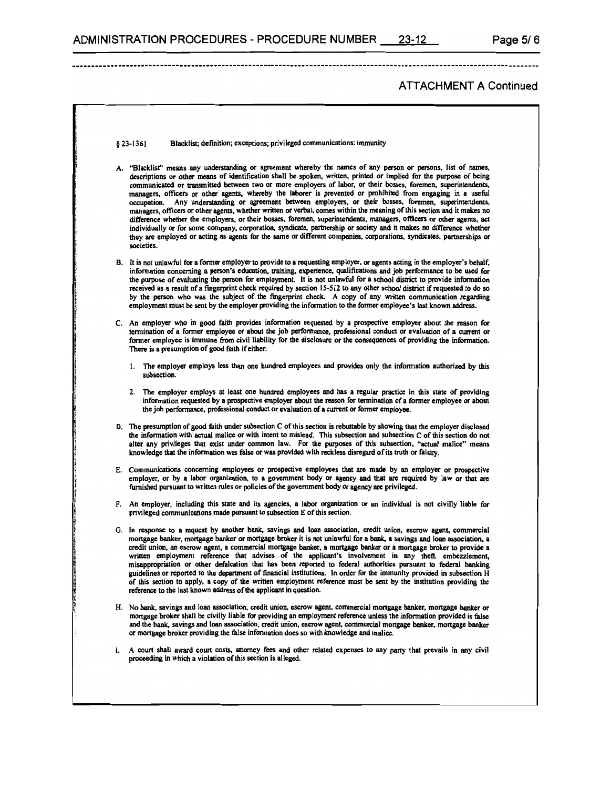#### **ATTACHMENT A Continued**

| $§ 23 - 1361$                                                                                                                                                                                                                                                                                                                                                                                                                                                                                                                                                                                                                                                                                                                           | Blacklist; definition; exceptions; privileged communications; immunity                                                                                                                                                                                                                                                                                                                                                                                                                                                                                                                                                                                                                                                                                                                                                                                                                                                                                                                                                                                                    |
|-----------------------------------------------------------------------------------------------------------------------------------------------------------------------------------------------------------------------------------------------------------------------------------------------------------------------------------------------------------------------------------------------------------------------------------------------------------------------------------------------------------------------------------------------------------------------------------------------------------------------------------------------------------------------------------------------------------------------------------------|---------------------------------------------------------------------------------------------------------------------------------------------------------------------------------------------------------------------------------------------------------------------------------------------------------------------------------------------------------------------------------------------------------------------------------------------------------------------------------------------------------------------------------------------------------------------------------------------------------------------------------------------------------------------------------------------------------------------------------------------------------------------------------------------------------------------------------------------------------------------------------------------------------------------------------------------------------------------------------------------------------------------------------------------------------------------------|
| occupation.<br>societies.                                                                                                                                                                                                                                                                                                                                                                                                                                                                                                                                                                                                                                                                                                               | A. "Blacklist" means any understanding or agreement whereby the names of any person or persons, list of names,<br>descriptions or other means of identification shall be spoken, written, printed or implied for the purpose of being<br>communicated or transmitted between two or more employers of labor, or their bosses, foremen, superintendents,<br>managers, officers or other agents, whereby the laborer is prevented or prohibited from engaging in a useful<br>Any understanding or agreement between employers, or their bosses, foremen, superintendents,<br>managers, officers or other agents, whether written or verbal, comes within the meaning of this section and it makes no<br>difference whether the employers, or their bosses, foremen, superintendents, managers, officers or other agents, act<br>individually or for some company, corporation, syndicate, partnership or society and it makes no difference whether<br>they are employed or acting as agents for the same or different companies, corporations, syndicates, partnerships or |
| B. It is not unlawful for a former employer to provide to a requesting employer, or agents acting in the employer's behalf,<br>information concerning a person's education, training, experience, qualifications and job performance to be used for<br>the purpose of evaluating the person for employment. It is not unlawful for a school district to provide information<br>received as a result of a fingerprint check required by section 15-512 to any other school district if requested to do so<br>by the person who was the subject of the fingerprint check. A copy of any written communication regarding<br>employment must be sent by the employer providing the information to the former employee's last known address. |                                                                                                                                                                                                                                                                                                                                                                                                                                                                                                                                                                                                                                                                                                                                                                                                                                                                                                                                                                                                                                                                           |
|                                                                                                                                                                                                                                                                                                                                                                                                                                                                                                                                                                                                                                                                                                                                         | C. An employer who in good faith provides information requested by a prospective employer about the reason for<br>termination of a former employee or about the job performance, professional conduct or evaluation of a current or<br>former employee is immune from civil liability for the disclosure or the consequences of providing the information.<br>There is a presumption of good faith if either:                                                                                                                                                                                                                                                                                                                                                                                                                                                                                                                                                                                                                                                             |
| subsection.                                                                                                                                                                                                                                                                                                                                                                                                                                                                                                                                                                                                                                                                                                                             | 1. The employer employs less than one hundred employees and provides only the information authorized by this                                                                                                                                                                                                                                                                                                                                                                                                                                                                                                                                                                                                                                                                                                                                                                                                                                                                                                                                                              |
|                                                                                                                                                                                                                                                                                                                                                                                                                                                                                                                                                                                                                                                                                                                                         | 2. The employer employs at least one hundred employees and has a regular practice in this state of providing<br>information requested by a prospective employer about the reason for termination of a former employee or about<br>the job performance, professional conduct or evaluation of a current or former employee.                                                                                                                                                                                                                                                                                                                                                                                                                                                                                                                                                                                                                                                                                                                                                |
|                                                                                                                                                                                                                                                                                                                                                                                                                                                                                                                                                                                                                                                                                                                                         | D. The presumption of good faith under subsection C of this section is rebuttable by showing that the employer disclosed<br>the information with actual malice or with intent to mislead. This subsection and subsection C of this section do not<br>alter any privileges that exist under common law. For the purposes of this subsection, "actual malice" means<br>knowledge that the information was false or was provided with reckless disregard of its truth or falsity.                                                                                                                                                                                                                                                                                                                                                                                                                                                                                                                                                                                            |
|                                                                                                                                                                                                                                                                                                                                                                                                                                                                                                                                                                                                                                                                                                                                         | E. Communications concerning employees or prospective employees that are made by an employer or prospective<br>employer, or by a labor organization, to a government body or agency and that are required by law or that are<br>furnished pursuant to written rules or policies of the government body or agency are privileged.                                                                                                                                                                                                                                                                                                                                                                                                                                                                                                                                                                                                                                                                                                                                          |
|                                                                                                                                                                                                                                                                                                                                                                                                                                                                                                                                                                                                                                                                                                                                         | F. An employer, including this state and its agencies, a labor organization or an individual is not civilly liable for<br>privileged communications made pursuant to subsection E of this section.                                                                                                                                                                                                                                                                                                                                                                                                                                                                                                                                                                                                                                                                                                                                                                                                                                                                        |
|                                                                                                                                                                                                                                                                                                                                                                                                                                                                                                                                                                                                                                                                                                                                         | G. In response to a request by another bank, savings and loan association, credit union, escrow agent, commercial<br>mortgage banker, mortgage banker or mortgage broker it is not unlawful for a bank, a savings and loan association, a<br>credit union, an escrow agent, a commercial mortgage banker, a mortgage banker or a mortgage broker to provide a<br>written employment reference that advises of the applicant's involvement in any theft, embezzlement,<br>misappropriation or other defalcation that has been reported to federal authorities pursuant to federal banking<br>guidelines or reported to the department of financial institutions. In order for the immunity provided in subsection H<br>of this section to apply, a copy of the written employment reference must be sent by the institution providing the<br>reference to the last known address of the applicant in question.                                                                                                                                                             |
|                                                                                                                                                                                                                                                                                                                                                                                                                                                                                                                                                                                                                                                                                                                                         | H. No bank, savings and loan association, credit union, escrow agent, commercial mortgage banker, mortgage banker or<br>mortgage broker shall be civilly liable for providing an employment reference unless the information provided is false<br>and the bank, savings and loan association, credit union, escrow agent, commercial mortgage banker, mortgage banker<br>or mortgage broker providing the false information does so with knowledge and malice.                                                                                                                                                                                                                                                                                                                                                                                                                                                                                                                                                                                                            |
|                                                                                                                                                                                                                                                                                                                                                                                                                                                                                                                                                                                                                                                                                                                                         | I. A court shall award court costs, attorney fees and other related expenses to any party that prevails in any civil<br>proceeding in which a violation of this section is alleged.                                                                                                                                                                                                                                                                                                                                                                                                                                                                                                                                                                                                                                                                                                                                                                                                                                                                                       |